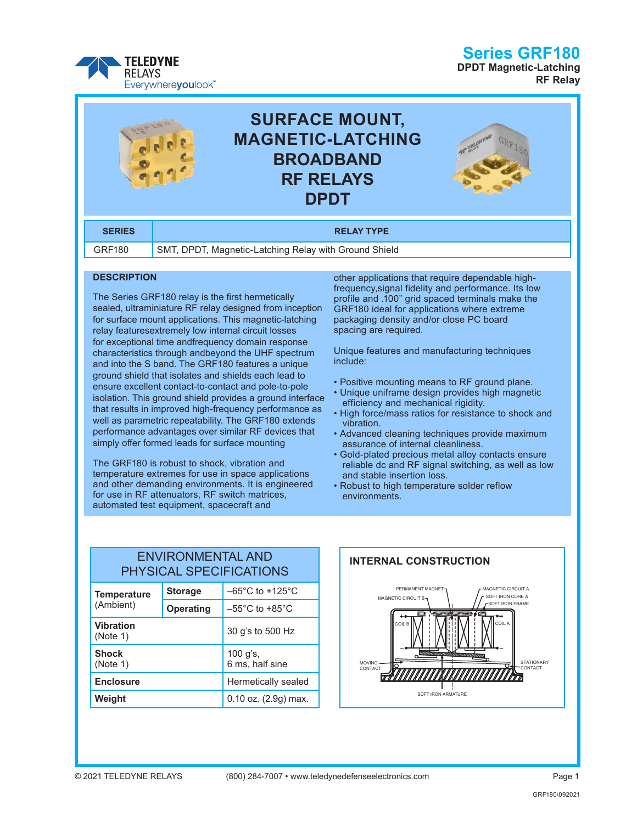

### **Series GRF180**

**DPDT Magnetic-Latching RF Relay**



### **DESCRIPTION**

The Series GRF180 relay is the first hermetically sealed, ultraminiature RF relay designed from inception for surface mount applications. This magnetic-latching relay featuresextremely low internal circuit losses for exceptional time andfrequency domain response characteristics through andbeyond the UHF spectrum and into the S band. The GRF180 features a unique ground shield that isolates and shields each lead to ensure excellent contact-to-contact and pole-to-pole isolation. This ground shield provides a ground interface that results in improved high-frequency performance as well as parametric repeatability. The GRF180 extends performance advantages over similar RF devices that simply offer formed leads for surface mounting

The GRF180 is robust to shock, vibration and temperature extremes for use in space applications and other demanding environments. It is engineered for use in RF attenuators, RF switch matrices, automated test equipment, spacecraft and

other applications that require dependable highfrequency,signal fidelity and performance. Its low profile and .100" grid spaced terminals make the GRF180 ideal for applications where extreme packaging density and/or close PC board spacing are required.

Unique features and manufacturing techniques include:

- Positive mounting means to RF ground plane.
- Unique uniframe design provides high magnetic efficiency and mechanical rigidity.
- High force/mass ratios for resistance to shock and vibration.
- Advanced cleaning techniques provide maximum assurance of internal cleanliness.
- Gold-plated precious metal alloy contacts ensure reliable dc and RF signal switching, as well as low and stable insertion loss.
- Robust to high temperature solder reflow environments.

### ENVIRONMENTAL AND PHYSICAL SPECIFICATIONS

| <b>Temperature</b><br>(Ambient) | <b>Storage</b>   | $-65^{\circ}$ C to +125 $^{\circ}$ C |  |
|---------------------------------|------------------|--------------------------------------|--|
|                                 | <b>Operating</b> | $-55^{\circ}$ C to $+85^{\circ}$ C   |  |
| <b>Vibration</b><br>(Note 1)    |                  | 30 g's to 500 Hz                     |  |
| <b>Shock</b><br>(Note 1)        |                  | 100 g's,<br>6 ms, half sine          |  |
| <b>Enclosure</b>                |                  | Hermetically sealed                  |  |
| Weight                          |                  | $0.10$ oz. $(2.9g)$ max.             |  |

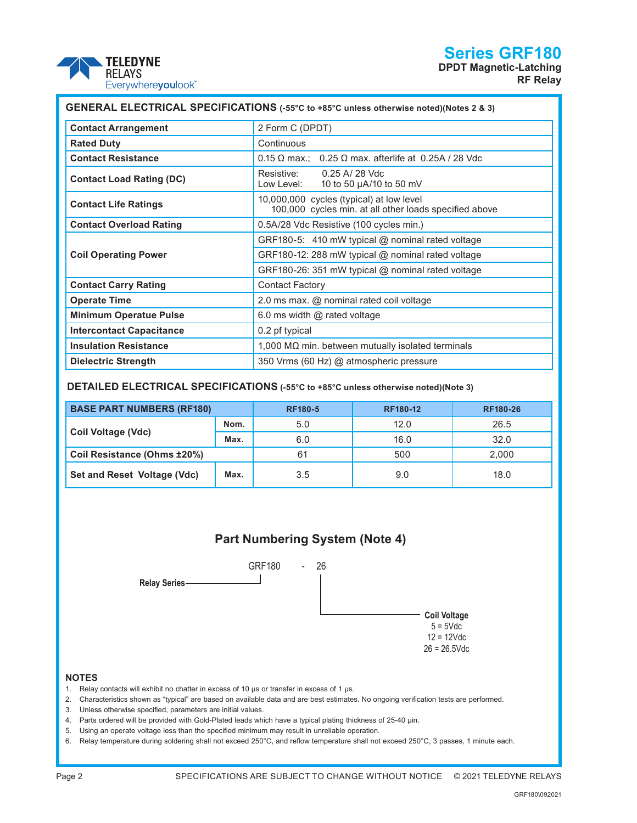# **Series GRF180**





| GENERAL ELECTRICAL SPECIFICATIONS (-55°C to +85°C unless otherwise noted)(Notes 2 & 3) |                                                                                                    |  |  |  |
|----------------------------------------------------------------------------------------|----------------------------------------------------------------------------------------------------|--|--|--|
| <b>Contact Arrangement</b>                                                             | 2 Form C (DPDT)                                                                                    |  |  |  |
| <b>Rated Duty</b>                                                                      | Continuous                                                                                         |  |  |  |
| <b>Contact Resistance</b>                                                              | $0.15 \Omega$ max.; 0.25 $\Omega$ max. afterlife at 0.25A / 28 Vdc                                 |  |  |  |
| <b>Contact Load Rating (DC)</b>                                                        | Resistive:<br>$0.25$ A/ $28$ Vdc<br>Low Level: $10$ to 50 $\mu$ A/10 to 50 mV                      |  |  |  |
| <b>Contact Life Ratings</b>                                                            | 10,000,000 cycles (typical) at low level<br>100,000 cycles min. at all other loads specified above |  |  |  |
| <b>Contact Overload Rating</b>                                                         | 0.5A/28 Vdc Resistive (100 cycles min.)                                                            |  |  |  |
|                                                                                        | GRF180-5: 410 mW typical $@$ nominal rated voltage                                                 |  |  |  |
| <b>Coil Operating Power</b>                                                            | GRF180-12: 288 mW typical @ nominal rated voltage                                                  |  |  |  |
|                                                                                        | GRF180-26: 351 mW typical @ nominal rated voltage                                                  |  |  |  |
| <b>Contact Carry Rating</b>                                                            | <b>Contact Factory</b>                                                                             |  |  |  |
| <b>Operate Time</b>                                                                    | 2.0 ms max. @ nominal rated coil voltage                                                           |  |  |  |
| <b>Minimum Operatue Pulse</b>                                                          | 6.0 ms width $@$ rated voltage                                                                     |  |  |  |
| <b>Intercontact Capacitance</b>                                                        | 0.2 pf typical                                                                                     |  |  |  |
| <b>Insulation Resistance</b>                                                           | $1,000$ M $\Omega$ min. between mutually isolated terminals                                        |  |  |  |
| <b>Dielectric Strength</b>                                                             | 350 Vrms (60 Hz) @ atmospheric pressure                                                            |  |  |  |

### **DETAILED ELECTRICAL SPECIFICATIONS (-55°C to +85°C unless otherwise noted)(Note 3)**

| <b>BASE PART NUMBERS (RF180)</b> |      | <b>RF180-5</b> | <b>RF180-12</b> | <b>RF180-26</b> |
|----------------------------------|------|----------------|-----------------|-----------------|
| Coil Voltage (Vdc)               | Nom. | 5.0            | 12.0            | 26.5            |
|                                  | Max. | 6.0            | 16.0            | 32.0            |
| Coil Resistance (Ohms ±20%)      |      | 61             | 500             | 2.000           |
| Set and Reset Voltage (Vdc)      | Max. | 3.5            | 9.0             | 18.0            |



#### **NOTES**

- 1. Relay contacts will exhibit no chatter in excess of 10 µs or transfer in excess of 1 µs.
- 2. Characteristics shown as "typical" are based on available data and are best estimates. No ongoing verification tests are performed.
- 3. Unless otherwise specified, parameters are initial values.
- 4. Parts ordered will be provided with Gold-Plated leads which have a typical plating thickness of 25-40 µin.
- 5. Using an operate voltage less than the specified minimum may result in unreliable operation.
- 6. Relay temperature during soldering shall not exceed 250°C, and reflow temperature shall not exceed 250°C, 3 passes, 1 minute each.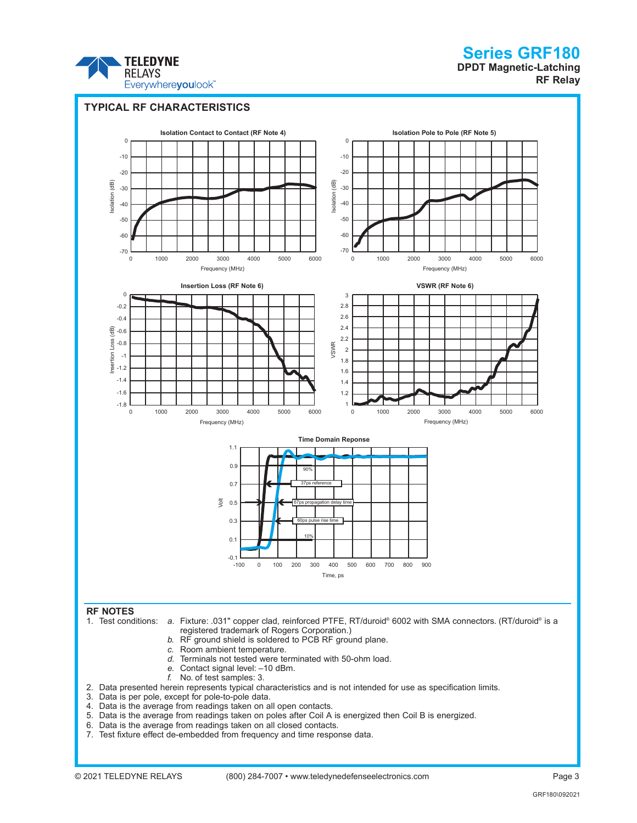

## **Series GRF180 DPDT Magnetic-Latching**

**RF Relay**